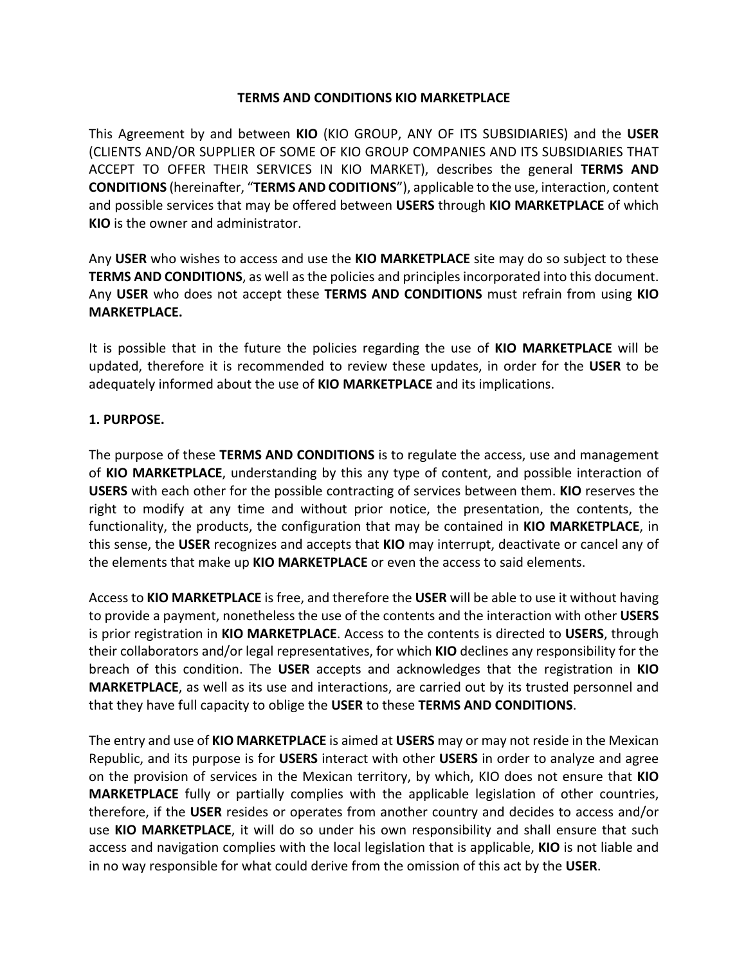#### **TERMS AND CONDITIONS KIO MARKETPLACE**

This Agreement by and between **KIO** (KIO GROUP, ANY OF ITS SUBSIDIARIES) and the **USER** (CLIENTS AND/OR SUPPLIER OF SOME OF KIO GROUP COMPANIES AND ITS SUBSIDIARIES THAT ACCEPT TO OFFER THEIR SERVICES IN KIO MARKET), describes the general **TERMS AND CONDITIONS** (hereinafter, "**TERMS AND CODITIONS**"), applicable to the use, interaction, content and possible services that may be offered between **USERS** through **KIO MARKETPLACE** of which **KIO** is the owner and administrator.

Any **USER** who wishes to access and use the **KIO MARKETPLACE** site may do so subject to these **TERMS AND CONDITIONS**, as well as the policies and principles incorporated into this document. Any **USER** who does not accept these **TERMS AND CONDITIONS** must refrain from using **KIO MARKETPLACE.**

It is possible that in the future the policies regarding the use of **KIO MARKETPLACE** will be updated, therefore it is recommended to review these updates, in order for the **USER** to be adequately informed about the use of **KIO MARKETPLACE** and its implications.

### **1. PURPOSE.**

The purpose of these **TERMS AND CONDITIONS** is to regulate the access, use and management of **KIO MARKETPLACE**, understanding by this any type of content, and possible interaction of **USERS** with each other for the possible contracting of services between them. **KIO** reserves the right to modify at any time and without prior notice, the presentation, the contents, the functionality, the products, the configuration that may be contained in **KIO MARKETPLACE**, in this sense, the **USER** recognizes and accepts that **KIO** may interrupt, deactivate or cancel any of the elements that make up **KIO MARKETPLACE** or even the access to said elements.

Access to **KIO MARKETPLACE** is free, and therefore the **USER** will be able to use it without having to provide a payment, nonetheless the use of the contents and the interaction with other **USERS** is prior registration in **KIO MARKETPLACE**. Access to the contents is directed to **USERS**, through their collaborators and/or legal representatives, for which **KIO** declines any responsibility for the breach of this condition. The **USER** accepts and acknowledges that the registration in **KIO MARKETPLACE**, as well as its use and interactions, are carried out by its trusted personnel and that they have full capacity to oblige the **USER** to these **TERMS AND CONDITIONS**.

The entry and use of **KIO MARKETPLACE** is aimed at **USERS** may or may not reside in the Mexican Republic, and its purpose is for **USERS** interact with other **USERS** in order to analyze and agree on the provision of services in the Mexican territory, by which, KIO does not ensure that **KIO MARKETPLACE** fully or partially complies with the applicable legislation of other countries, therefore, if the **USER** resides or operates from another country and decides to access and/or use **KIO MARKETPLACE**, it will do so under his own responsibility and shall ensure that such access and navigation complies with the local legislation that is applicable, **KIO** is not liable and in no way responsible for what could derive from the omission of this act by the **USER**.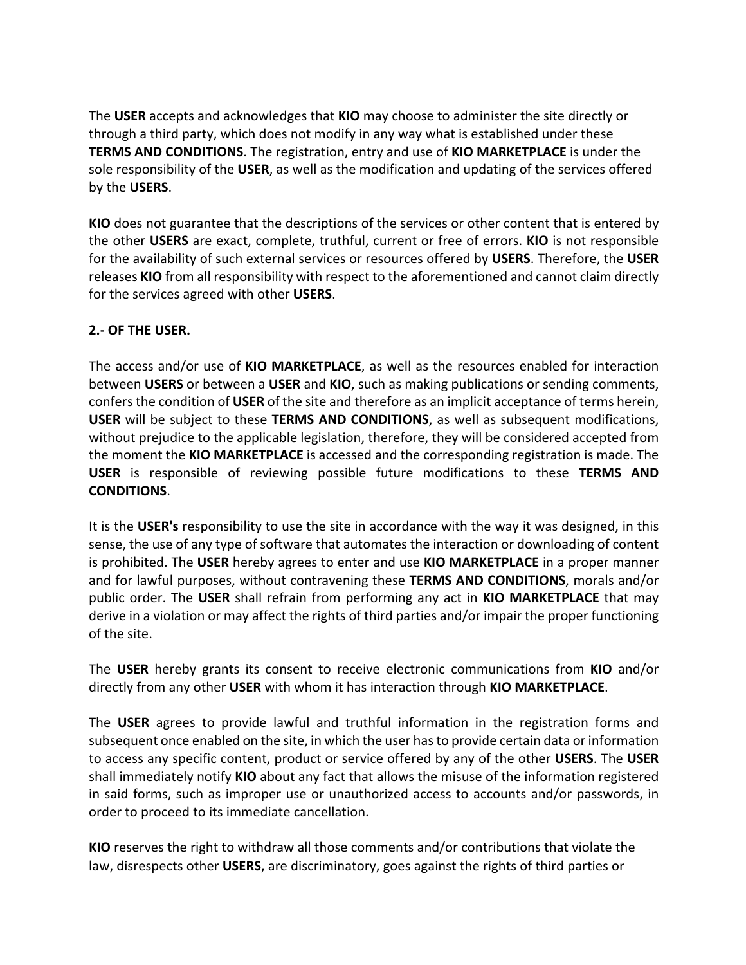The **USER** accepts and acknowledges that **KIO** may choose to administer the site directly or through a third party, which does not modify in any way what is established under these **TERMS AND CONDITIONS**. The registration, entry and use of **KIO MARKETPLACE** is under the sole responsibility of the **USER**, as well as the modification and updating of the services offered by the **USERS**.

**KIO** does not guarantee that the descriptions of the services or other content that is entered by the other **USERS** are exact, complete, truthful, current or free of errors. **KIO** is not responsible for the availability of such external services or resources offered by **USERS**. Therefore, the **USER** releases **KIO** from all responsibility with respect to the aforementioned and cannot claim directly for the services agreed with other **USERS**.

## **2.- OF THE USER.**

The access and/or use of **KIO MARKETPLACE**, as well as the resources enabled for interaction between **USERS** or between a **USER** and **KIO**, such as making publications or sending comments, confers the condition of **USER** of the site and therefore as an implicit acceptance of terms herein, **USER** will be subject to these **TERMS AND CONDITIONS**, as well as subsequent modifications, without prejudice to the applicable legislation, therefore, they will be considered accepted from the moment the **KIO MARKETPLACE** is accessed and the corresponding registration is made. The **USER** is responsible of reviewing possible future modifications to these **TERMS AND CONDITIONS**.

It is the **USER's** responsibility to use the site in accordance with the way it was designed, in this sense, the use of any type of software that automates the interaction or downloading of content is prohibited. The **USER** hereby agrees to enter and use **KIO MARKETPLACE** in a proper manner and for lawful purposes, without contravening these **TERMS AND CONDITIONS**, morals and/or public order. The **USER** shall refrain from performing any act in **KIO MARKETPLACE** that may derive in a violation or may affect the rights of third parties and/or impair the proper functioning of the site.

The **USER** hereby grants its consent to receive electronic communications from **KIO** and/or directly from any other **USER** with whom it has interaction through **KIO MARKETPLACE**.

The **USER** agrees to provide lawful and truthful information in the registration forms and subsequent once enabled on the site, in which the user has to provide certain data or information to access any specific content, product or service offered by any of the other **USERS**. The **USER** shall immediately notify **KIO** about any fact that allows the misuse of the information registered in said forms, such as improper use or unauthorized access to accounts and/or passwords, in order to proceed to its immediate cancellation.

**KIO** reserves the right to withdraw all those comments and/or contributions that violate the law, disrespects other **USERS**, are discriminatory, goes against the rights of third parties or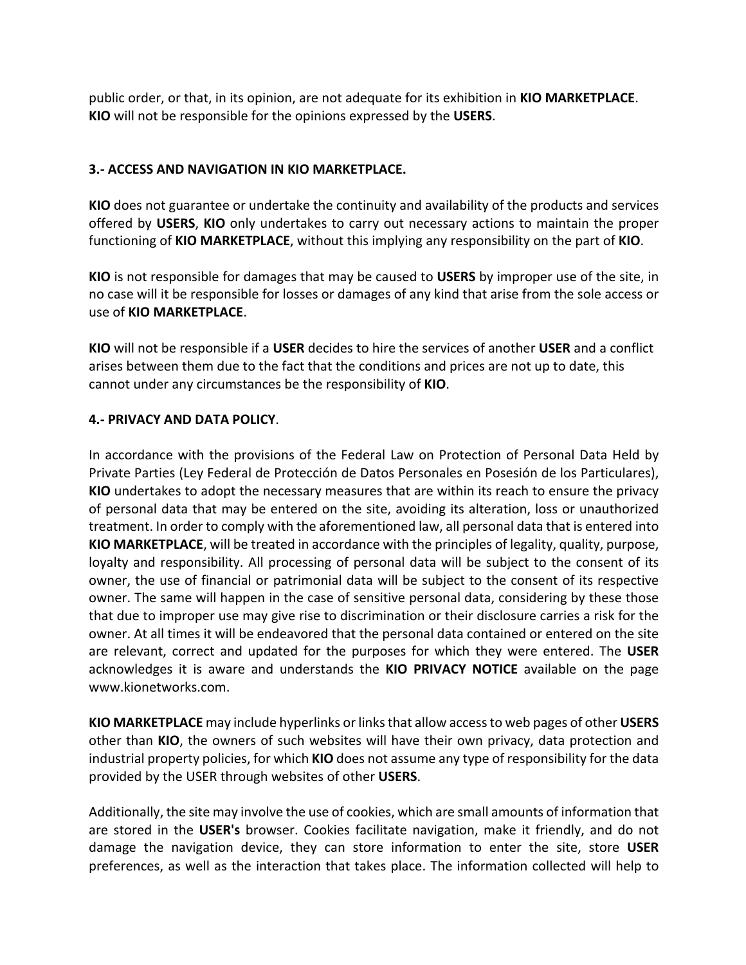public order, or that, in its opinion, are not adequate for its exhibition in **KIO MARKETPLACE**. **KIO** will not be responsible for the opinions expressed by the **USERS**.

#### **3.- ACCESS AND NAVIGATION IN KIO MARKETPLACE.**

**KIO** does not guarantee or undertake the continuity and availability of the products and services offered by **USERS**, **KIO** only undertakes to carry out necessary actions to maintain the proper functioning of **KIO MARKETPLACE**, without this implying any responsibility on the part of **KIO**.

**KIO** is not responsible for damages that may be caused to **USERS** by improper use of the site, in no case will it be responsible for losses or damages of any kind that arise from the sole access or use of **KIO MARKETPLACE**.

**KIO** will not be responsible if a **USER** decides to hire the services of another **USER** and a conflict arises between them due to the fact that the conditions and prices are not up to date, this cannot under any circumstances be the responsibility of **KIO**.

### **4.- PRIVACY AND DATA POLICY**.

In accordance with the provisions of the Federal Law on Protection of Personal Data Held by Private Parties (Ley Federal de Protección de Datos Personales en Posesión de los Particulares), **KIO** undertakes to adopt the necessary measures that are within its reach to ensure the privacy of personal data that may be entered on the site, avoiding its alteration, loss or unauthorized treatment. In order to comply with the aforementioned law, all personal data that is entered into **KIO MARKETPLACE**, will be treated in accordance with the principles of legality, quality, purpose, loyalty and responsibility. All processing of personal data will be subject to the consent of its owner, the use of financial or patrimonial data will be subject to the consent of its respective owner. The same will happen in the case of sensitive personal data, considering by these those that due to improper use may give rise to discrimination or their disclosure carries a risk for the owner. At all times it will be endeavored that the personal data contained or entered on the site are relevant, correct and updated for the purposes for which they were entered. The **USER**  acknowledges it is aware and understands the **KIO PRIVACY NOTICE** available on the page www.kionetworks.com.

**KIO MARKETPLACE** may include hyperlinks or links that allow access to web pages of other **USERS** other than **KIO**, the owners of such websites will have their own privacy, data protection and industrial property policies, for which **KIO** does not assume any type of responsibility for the data provided by the USER through websites of other **USERS**.

Additionally, the site may involve the use of cookies, which are small amounts of information that are stored in the **USER's** browser. Cookies facilitate navigation, make it friendly, and do not damage the navigation device, they can store information to enter the site, store **USER** preferences, as well as the interaction that takes place. The information collected will help to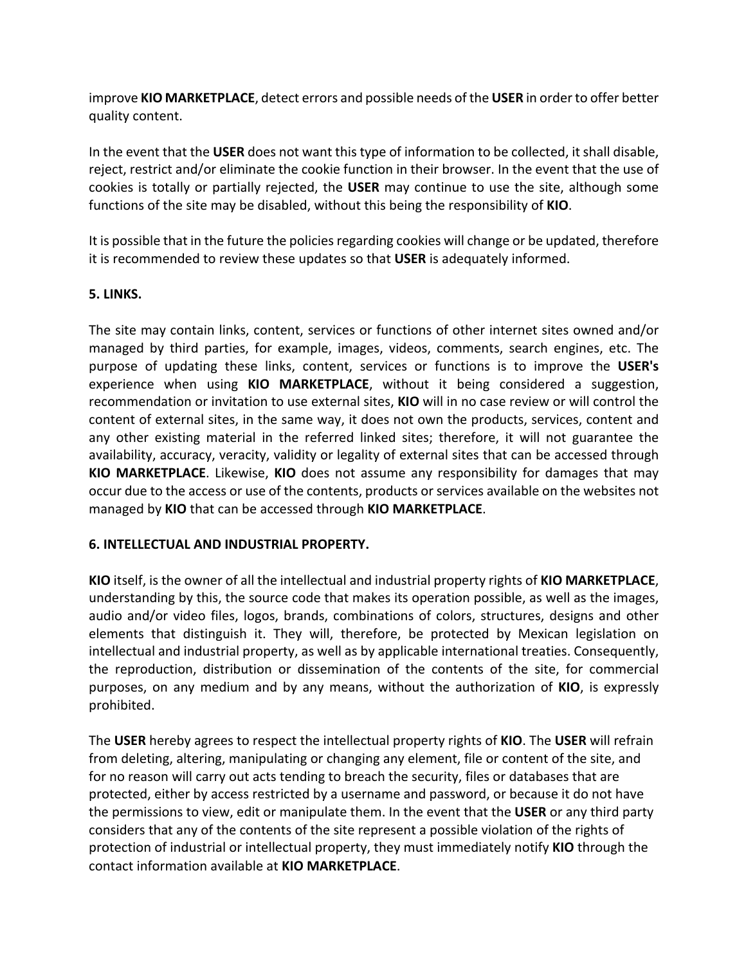improve **KIO MARKETPLACE**, detect errors and possible needs of the **USER** in order to offer better quality content.

In the event that the **USER** does not want this type of information to be collected, it shall disable, reject, restrict and/or eliminate the cookie function in their browser. In the event that the use of cookies is totally or partially rejected, the **USER** may continue to use the site, although some functions of the site may be disabled, without this being the responsibility of **KIO**.

It is possible that in the future the policies regarding cookies will change or be updated, therefore it is recommended to review these updates so that **USER** is adequately informed.

## **5. LINKS.**

The site may contain links, content, services or functions of other internet sites owned and/or managed by third parties, for example, images, videos, comments, search engines, etc. The purpose of updating these links, content, services or functions is to improve the **USER's** experience when using **KIO MARKETPLACE**, without it being considered a suggestion, recommendation or invitation to use external sites, **KIO** will in no case review or will control the content of external sites, in the same way, it does not own the products, services, content and any other existing material in the referred linked sites; therefore, it will not guarantee the availability, accuracy, veracity, validity or legality of external sites that can be accessed through **KIO MARKETPLACE**. Likewise, **KIO** does not assume any responsibility for damages that may occur due to the access or use of the contents, products or services available on the websites not managed by **KIO** that can be accessed through **KIO MARKETPLACE**.

### **6. INTELLECTUAL AND INDUSTRIAL PROPERTY.**

**KIO** itself, is the owner of all the intellectual and industrial property rights of **KIO MARKETPLACE**, understanding by this, the source code that makes its operation possible, as well as the images, audio and/or video files, logos, brands, combinations of colors, structures, designs and other elements that distinguish it. They will, therefore, be protected by Mexican legislation on intellectual and industrial property, as well as by applicable international treaties. Consequently, the reproduction, distribution or dissemination of the contents of the site, for commercial purposes, on any medium and by any means, without the authorization of **KIO**, is expressly prohibited.

The **USER** hereby agrees to respect the intellectual property rights of **KIO**. The **USER** will refrain from deleting, altering, manipulating or changing any element, file or content of the site, and for no reason will carry out acts tending to breach the security, files or databases that are protected, either by access restricted by a username and password, or because it do not have the permissions to view, edit or manipulate them. In the event that the **USER** or any third party considers that any of the contents of the site represent a possible violation of the rights of protection of industrial or intellectual property, they must immediately notify **KIO** through the contact information available at **KIO MARKETPLACE**.